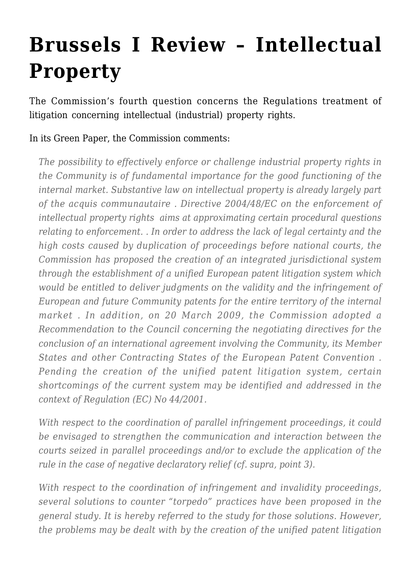## **[Brussels I Review – Intellectual](https://conflictoflaws.net/2009/brussels-i-review-intellectual-property/) [Property](https://conflictoflaws.net/2009/brussels-i-review-intellectual-property/)**

The Commission's fourth question concerns the Regulations treatment of litigation concerning intellectual (industrial) property rights.

In its Green Paper, the Commission comments:

*The possibility to effectively enforce or challenge industrial property rights in the Community is of fundamental importance for the good functioning of the internal market. Substantive law on intellectual property is already largely part of the acquis communautaire . Directive 2004/48/EC on the enforcement of intellectual property rights aims at approximating certain procedural questions relating to enforcement. . In order to address the lack of legal certainty and the high costs caused by duplication of proceedings before national courts, the Commission has proposed the creation of an integrated jurisdictional system through the establishment of a unified European patent litigation system which would be entitled to deliver judgments on the validity and the infringement of European and future Community patents for the entire territory of the internal market . In addition, on 20 March 2009, the Commission adopted a Recommendation to the Council concerning the negotiating directives for the conclusion of an international agreement involving the Community, its Member States and other Contracting States of the European Patent Convention . Pending the creation of the unified patent litigation system, certain shortcomings of the current system may be identified and addressed in the context of Regulation (EC) No 44/2001.*

*With respect to the coordination of parallel infringement proceedings, it could be envisaged to strengthen the communication and interaction between the courts seized in parallel proceedings and/or to exclude the application of the rule in the case of negative declaratory relief (cf. supra, point 3).*

*With respect to the coordination of infringement and invalidity proceedings, several solutions to counter "torpedo" practices have been proposed in the general study. It is hereby referred to the study for those solutions. However, the problems may be dealt with by the creation of the unified patent litigation*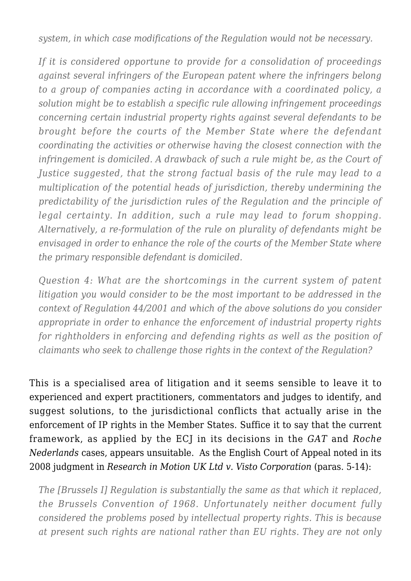*system, in which case modifications of the Regulation would not be necessary.*

*If it is considered opportune to provide for a consolidation of proceedings against several infringers of the European patent where the infringers belong to a group of companies acting in accordance with a coordinated policy, a solution might be to establish a specific rule allowing infringement proceedings concerning certain industrial property rights against several defendants to be brought before the courts of the Member State where the defendant coordinating the activities or otherwise having the closest connection with the infringement is domiciled. A drawback of such a rule might be, as the Court of Justice suggested, that the strong factual basis of the rule may lead to a multiplication of the potential heads of jurisdiction, thereby undermining the predictability of the jurisdiction rules of the Regulation and the principle of legal certainty. In addition, such a rule may lead to forum shopping. Alternatively, a re-formulation of the rule on plurality of defendants might be envisaged in order to enhance the role of the courts of the Member State where the primary responsible defendant is domiciled.*

*Question 4: What are the shortcomings in the current system of patent litigation you would consider to be the most important to be addressed in the context of Regulation 44/2001 and which of the above solutions do you consider appropriate in order to enhance the enforcement of industrial property rights for rightholders in enforcing and defending rights as well as the position of claimants who seek to challenge those rights in the context of the Regulation?*

This is a specialised area of litigation and it seems sensible to leave it to experienced and expert practitioners, commentators and judges to identify, and suggest solutions, to the jurisdictional conflicts that actually arise in the enforcement of IP rights in the Member States. Suffice it to say that the current framework, as applied by the ECJ in its decisions in the *GAT* and *Roche Nederlands* cases, appears unsuitable. As the English Court of Appeal noted in its 2008 judgment in *[Research in Motion UK Ltd v. Visto Corporation](http://www.bailii.org/ew/cases/EWCA/Civ/2008/153.html)* (paras. 5-14):

*The [Brussels I] Regulation is substantially the same as that which it replaced, the Brussels Convention of 1968. Unfortunately neither document fully considered the problems posed by intellectual property rights. This is because at present such rights are national rather than EU rights. They are not only*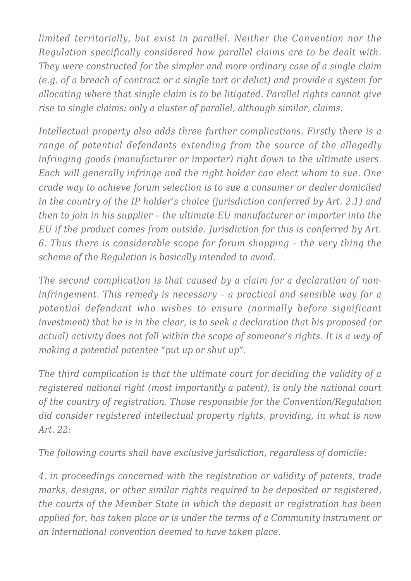*limited territorially, but exist in parallel. Neither the Convention nor the Regulation specifically considered how parallel claims are to be dealt with. They were constructed for the simpler and more ordinary case of a single claim (e.g. of a breach of contract or a single tort or delict) and provide a system for allocating where that single claim is to be litigated. Parallel rights cannot give rise to single claims: only a cluster of parallel, although similar, claims.*

*Intellectual property also adds three further complications. Firstly there is a range of potential defendants extending from the source of the allegedly infringing goods (manufacturer or importer) right down to the ultimate users. Each will generally infringe and the right holder can elect whom to sue. One crude way to achieve forum selection is to sue a consumer or dealer domiciled in the country of the IP holder's choice (jurisdiction conferred by Art. 2.1) and then to join in his supplier – the ultimate EU manufacturer or importer into the EU if the product comes from outside. Jurisdiction for this is conferred by Art. 6. Thus there is considerable scope for forum shopping – the very thing the scheme of the Regulation is basically intended to avoid.*

*The second complication is that caused by a claim for a declaration of noninfringement. This remedy is necessary – a practical and sensible way for a potential defendant who wishes to ensure (normally before significant investment) that he is in the clear, is to seek a declaration that his proposed (or actual) activity does not fall within the scope of someone's rights. It is a way of making a potential patentee "put up or shut up".*

*The third complication is that the ultimate court for deciding the validity of a registered national right (most importantly a patent), is only the national court of the country of registration. Those responsible for the Convention/Regulation did consider registered intellectual property rights, providing, in what is now Art. 22:*

*The following courts shall have exclusive jurisdiction, regardless of domicile:*

*4. in proceedings concerned with the registration or validity of patents, trade marks, designs, or other similar rights required to be deposited or registered, the courts of the Member State in which the deposit or registration has been applied for, has taken place or is under the terms of a Community instrument or an international convention deemed to have taken place.*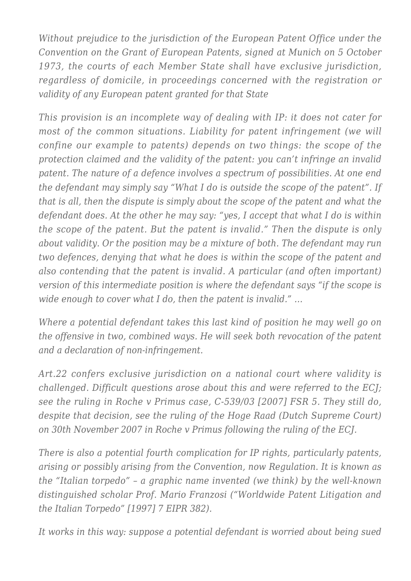*Without prejudice to the jurisdiction of the European Patent Office under the Convention on the Grant of European Patents, signed at Munich on 5 October 1973, the courts of each Member State shall have exclusive jurisdiction, regardless of domicile, in proceedings concerned with the registration or validity of any European patent granted for that State*

*This provision is an incomplete way of dealing with IP: it does not cater for most of the common situations. Liability for patent infringement (we will confine our example to patents) depends on two things: the scope of the protection claimed and the validity of the patent: you can't infringe an invalid patent. The nature of a defence involves a spectrum of possibilities. At one end the defendant may simply say "What I do is outside the scope of the patent". If that is all, then the dispute is simply about the scope of the patent and what the defendant does. At the other he may say: "yes, I accept that what I do is within the scope of the patent. But the patent is invalid." Then the dispute is only about validity. Or the position may be a mixture of both. The defendant may run two defences, denying that what he does is within the scope of the patent and also contending that the patent is invalid. A particular (and often important) version of this intermediate position is where the defendant says "if the scope is wide enough to cover what I do, then the patent is invalid." …*

*Where a potential defendant takes this last kind of position he may well go on the offensive in two, combined ways. He will seek both revocation of the patent and a declaration of non-infringement.*

*Art.22 confers exclusive jurisdiction on a national court where validity is challenged. Difficult questions arose about this and were referred to the ECJ; see the ruling in Roche v Primus case, C-539/03 [2007] FSR 5. They still do, despite that decision, see the ruling of the Hoge Raad (Dutch Supreme Court) on 30th November 2007 in Roche v Primus following the ruling of the ECJ.*

*There is also a potential fourth complication for IP rights, particularly patents, arising or possibly arising from the Convention, now Regulation. It is known as the "Italian torpedo" – a graphic name invented (we think) by the well-known distinguished scholar Prof. Mario Franzosi ("Worldwide Patent Litigation and the Italian Torpedo" [1997] 7 EIPR 382).*

*It works in this way: suppose a potential defendant is worried about being sued*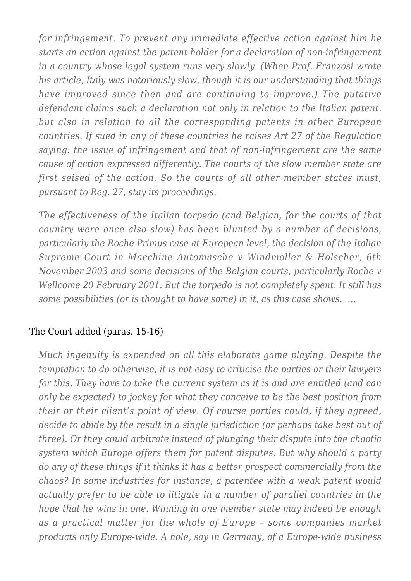*for infringement. To prevent any immediate effective action against him he starts an action against the patent holder for a declaration of non-infringement in a country whose legal system runs very slowly. (When Prof. Franzosi wrote his article, Italy was notoriously slow, though it is our understanding that things have improved since then and are continuing to improve.) The putative defendant claims such a declaration not only in relation to the Italian patent, but also in relation to all the corresponding patents in other European countries. If sued in any of these countries he raises Art 27 of the Regulation saying: the issue of infringement and that of non-infringement are the same cause of action expressed differently. The courts of the slow member state are first seised of the action. So the courts of all other member states must, pursuant to Reg. 27, stay its proceedings.*

*The effectiveness of the Italian torpedo (and Belgian, for the courts of that country were once also slow) has been blunted by a number of decisions, particularly the Roche Primus case at European level, the decision of the Italian Supreme Court in Macchine Automasche v Windmoller & Holscher, 6th November 2003 and some decisions of the Belgian courts, particularly Roche v Wellcome 20 February 2001. But the torpedo is not completely spent. It still has some possibilities (or is thought to have some) in it, as this case shows. …*

## The Court added (paras. 15-16)

*Much ingenuity is expended on all this elaborate game playing. Despite the temptation to do otherwise, it is not easy to criticise the parties or their lawyers for this. They have to take the current system as it is and are entitled (and can only be expected) to jockey for what they conceive to be the best position from their or their client's point of view. Of course parties could, if they agreed, decide to abide by the result in a single jurisdiction (or perhaps take best out of three). Or they could arbitrate instead of plunging their dispute into the chaotic system which Europe offers them for patent disputes. But why should a party do any of these things if it thinks it has a better prospect commercially from the chaos? In some industries for instance, a patentee with a weak patent would actually prefer to be able to litigate in a number of parallel countries in the hope that he wins in one. Winning in one member state may indeed be enough as a practical matter for the whole of Europe – some companies market products only Europe-wide. A hole, say in Germany, of a Europe-wide business*